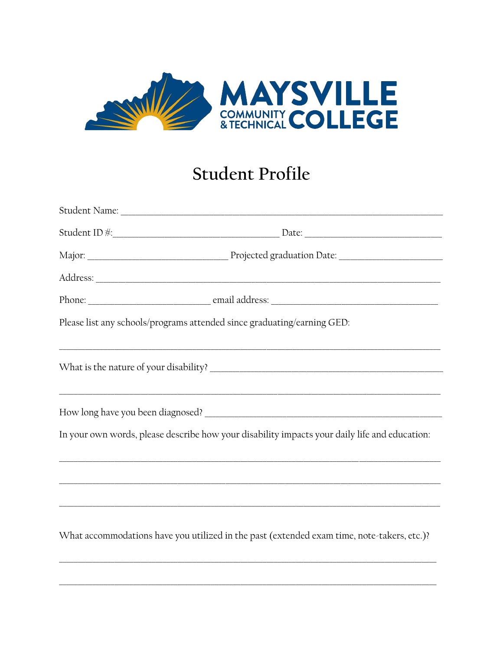

## **Student Profile**

| Student ID #: Date: Date:                                                                     |  |
|-----------------------------------------------------------------------------------------------|--|
|                                                                                               |  |
|                                                                                               |  |
|                                                                                               |  |
| Please list any schools/programs attended since graduating/earning GED:                       |  |
| ,我们也不能在这里的时候,我们也不能在这里的时候,我们也不能在这里的时候,我们也不能会在这里的时候,我们也不能会在这里的时候,我们也不能会在这里的时候,我们也不能             |  |
|                                                                                               |  |
| In your own words, please describe how your disability impacts your daily life and education: |  |
| ,我们也不能会在这里的人,我们也不能会在这里,我们也不能会在这里,我们也不能会在这里,我们也不能会在这里,我们也不能会在这里,我们也不能会在这里,我们也不能会在这             |  |
| ,我们也不能在这里的时候,我们也不能在这里的时候,我们也不能在这里的时候,我们也不能会在这里的时候,我们也不能会在这里的时候,我们也不能会在这里的时候,我们也不              |  |
| What accommodations have you utilized in the past (extended exam time, note-takers, etc.)?    |  |